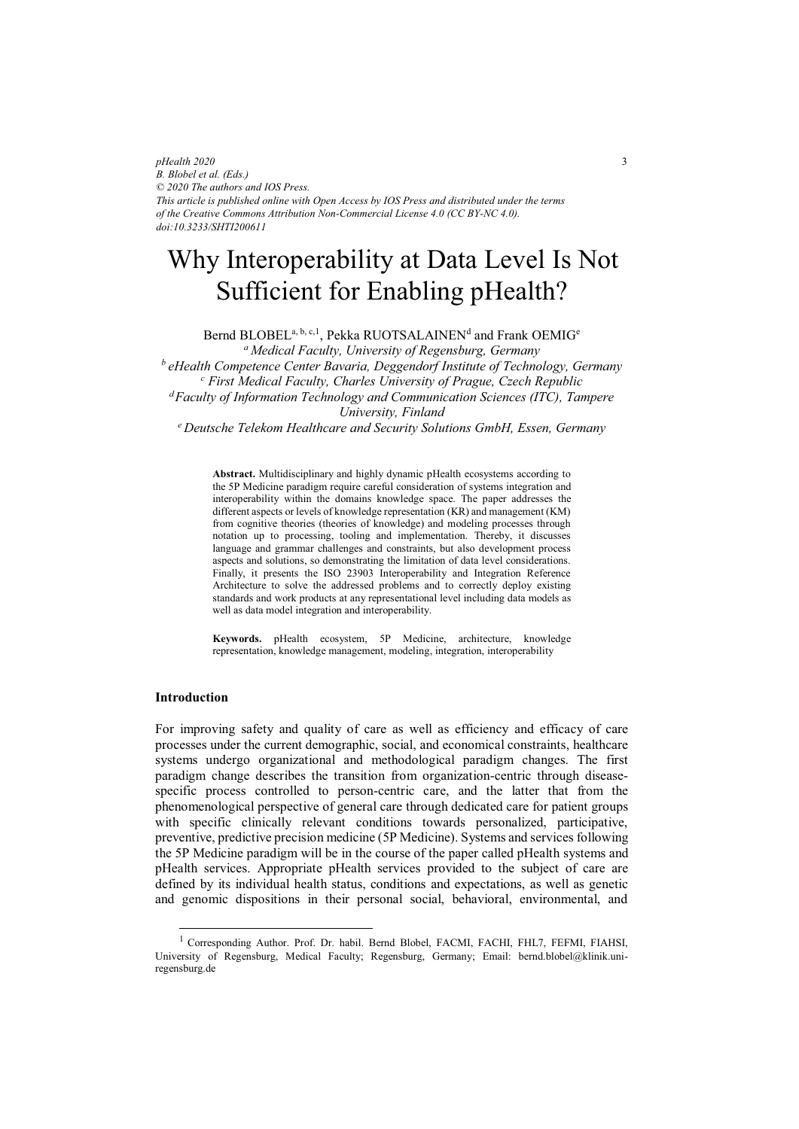*pHealth 2020 B. Blobel et al. (Eds.) © 2020 The authors and IOS Press. This article is published online with Open Access by IOS Press and distributed under the terms of the Creative Commons Attribution Non-Commercial License 4.0 (CC BY-NC 4.0). doi:10.3233/SHTI200611*

# Why Interoperability at Data Level Is Not Sufficient for Enabling pHealth?

Bernd  $\rm BLOBEL^{a, \, b, \, c, 1}, \, \rm Pekka \, \rm RUOTSALAINEN^d$  and  $\rm Frank \, OEMIG^e$ *a Medical Faculty, University of Regensburg, Germany b eHealth Competence Center Bavaria, Deggendorf Institute of Technology, Germany c First Medical Faculty, Charles University of Prague, Czech Republic dFaculty of Information Technology and Communication Sciences (ITC), Tampere University, Finland e Deutsche Telekom Healthcare and Security Solutions GmbH, Essen, Germany* 

**Abstract.** Multidisciplinary and highly dynamic pHealth ecosystems according to the 5P Medicine paradigm require careful consideration of systems integration and interoperability within the domains knowledge space. The paper addresses the different aspects or levels of knowledge representation (KR) and management (KM) from cognitive theories (theories of knowledge) and modeling processes through notation up to processing, tooling and implementation. Thereby, it discusses language and grammar challenges and constraints, but also development process aspects and solutions, so demonstrating the limitation of data level considerations. Finally, it presents the ISO 23903 Interoperability and Integration Reference Architecture to solve the addressed problems and to correctly deploy existing standards and work products at any representational level including data models as well as data model integration and interoperability.

**Keywords.** pHealth ecosystem, 5P Medicine, architecture, knowledge representation, knowledge management, modeling, integration, interoperability

## **Introduction**

 $\overline{a}$ 

For improving safety and quality of care as well as efficiency and efficacy of care processes under the current demographic, social, and economical constraints, healthcare systems undergo organizational and methodological paradigm changes. The first paradigm change describes the transition from organization-centric through diseasespecific process controlled to person-centric care, and the latter that from the phenomenological perspective of general care through dedicated care for patient groups with specific clinically relevant conditions towards personalized, participative, preventive, predictive precision medicine (5P Medicine). Systems and services following the 5P Medicine paradigm will be in the course of the paper called pHealth systems and pHealth services. Appropriate pHealth services provided to the subject of care are defined by its individual health status, conditions and expectations, as well as genetic and genomic dispositions in their personal social, behavioral, environmental, and

<sup>&</sup>lt;sup>1</sup> Corresponding Author. Prof. Dr. habil. Bernd Blobel, FACMI, FACHI, FHL7, FEFMI, FIAHSI, University of Regensburg, Medical Faculty; Regensburg, Germany; Email: bernd.blobel@klinik.uniregensburg.de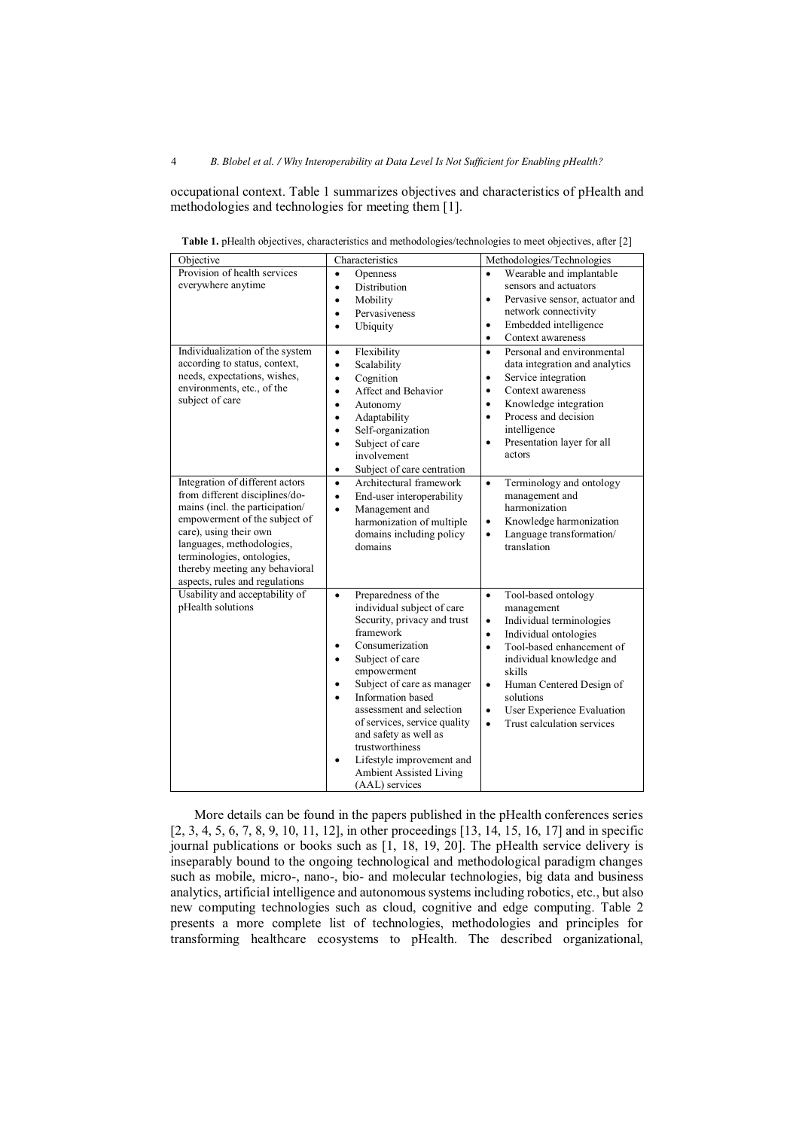occupational context. Table 1 summarizes objectives and characteristics of pHealth and methodologies and technologies for meeting them [1].

| Objective                                                                                                                                                                                                                 | Characteristics                                                                                                                                                                                                                                                                                                                                                                                                                                              | Methodologies/Technologies                                                                                                                                                                                                                                                                                                                                 |
|---------------------------------------------------------------------------------------------------------------------------------------------------------------------------------------------------------------------------|--------------------------------------------------------------------------------------------------------------------------------------------------------------------------------------------------------------------------------------------------------------------------------------------------------------------------------------------------------------------------------------------------------------------------------------------------------------|------------------------------------------------------------------------------------------------------------------------------------------------------------------------------------------------------------------------------------------------------------------------------------------------------------------------------------------------------------|
| Provision of health services<br>everywhere anytime                                                                                                                                                                        | Openness<br>$\bullet$<br>Distribution<br>$\bullet$<br>Mobility<br>$\bullet$<br>Pervasiveness<br>$\bullet$<br>Ubiquity<br>$\bullet$                                                                                                                                                                                                                                                                                                                           | Wearable and implantable<br>$\bullet$<br>sensors and actuators<br>$\bullet$<br>Pervasive sensor, actuator and<br>network connectivity<br>Embedded intelligence<br>$\bullet$<br>Context awareness<br>$\bullet$                                                                                                                                              |
| Individualization of the system<br>according to status, context,<br>needs, expectations, wishes,<br>environments, etc., of the<br>subject of care<br>Integration of different actors<br>from different disciplines/do-    | Flexibility<br>$\bullet$<br>Scalability<br>$\bullet$<br>Cognition<br>$\bullet$<br>Affect and Behavior<br>$\bullet$<br>Autonomy<br>٠<br>Adaptability<br>$\bullet$<br>Self-organization<br>$\bullet$<br>Subject of care<br>$\bullet$<br>involvement<br>Subject of care centration<br>$\bullet$<br>Architectural framework<br>$\bullet$<br>End-user interoperability<br>$\bullet$                                                                               | Personal and environmental<br>$\bullet$<br>data integration and analytics<br>Service integration<br>$\bullet$<br>Context awareness<br>$\bullet$<br>Knowledge integration<br>$\bullet$<br>Process and decision<br>$\bullet$<br>intelligence<br>Presentation layer for all<br>$\bullet$<br>actors<br>Terminology and ontology<br>$\bullet$<br>management and |
| mains (incl. the participation/<br>empowerment of the subject of<br>care), using their own<br>languages, methodologies,<br>terminologies, ontologies,<br>thereby meeting any behavioral<br>aspects, rules and regulations | Management and<br>$\bullet$<br>harmonization of multiple<br>domains including policy<br>domains                                                                                                                                                                                                                                                                                                                                                              | harmonization<br>Knowledge harmonization<br>$\bullet$<br>Language transformation/<br>$\bullet$<br>translation                                                                                                                                                                                                                                              |
| Usability and acceptability of<br>pHealth solutions                                                                                                                                                                       | Preparedness of the<br>$\bullet$<br>individual subject of care<br>Security, privacy and trust<br>framework<br>Consumerization<br>$\bullet$<br>Subject of care<br>$\bullet$<br>empowerment<br>Subject of care as manager<br>٠<br>Information based<br>$\bullet$<br>assessment and selection<br>of services, service quality<br>and safety as well as<br>trustworthiness<br>Lifestyle improvement and<br>٠<br><b>Ambient Assisted Living</b><br>(AAL) services | Tool-based ontology<br>$\bullet$<br>management<br>Individual terminologies<br>$\bullet$<br>Individual ontologies<br>$\bullet$<br>Tool-based enhancement of<br>$\bullet$<br>individual knowledge and<br>skills<br>Human Centered Design of<br>$\bullet$<br>solutions<br>User Experience Evaluation<br>$\bullet$<br>Trust calculation services<br>$\bullet$  |

**Table 1.** pHealth objectives, characteristics and methodologies/technologies to meet objectives, after [2]

More details can be found in the papers published in the pHealth conferences series [2, 3, 4, 5, 6, 7, 8, 9, 10, 11, 12], in other proceedings [13, 14, 15, 16, 17] and in specific journal publications or books such as [1, 18, 19, 20]. The pHealth service delivery is inseparably bound to the ongoing technological and methodological paradigm changes such as mobile, micro-, nano-, bio- and molecular technologies, big data and business analytics, artificial intelligence and autonomous systems including robotics, etc., but also new computing technologies such as cloud, cognitive and edge computing. Table 2 presents a more complete list of technologies, methodologies and principles for transforming healthcare ecosystems to pHealth. The described organizational,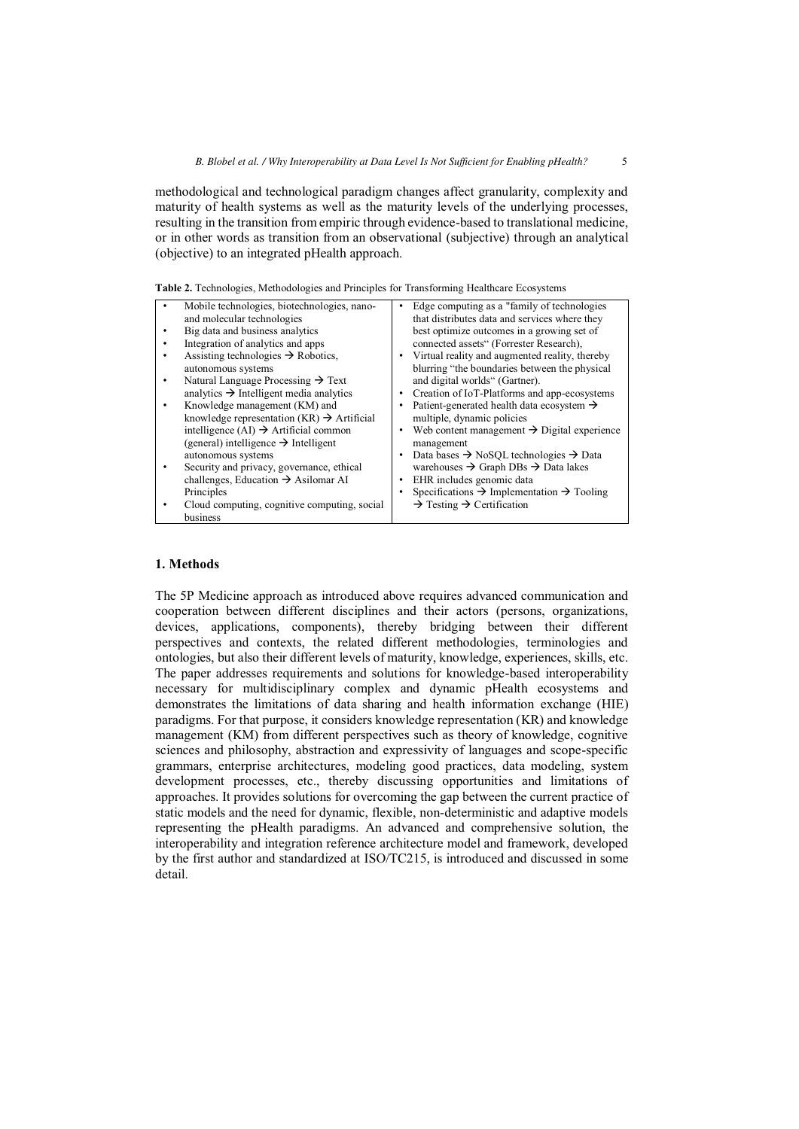methodological and technological paradigm changes affect granularity, complexity and maturity of health systems as well as the maturity levels of the underlying processes, resulting in the transition from empiric through evidence-based to translational medicine, or in other words as transition from an observational (subjective) through an analytical (objective) to an integrated pHealth approach.

| Mobile technologies, biotechnologies, nano-            | Edge computing as a "family of technologies"                      |
|--------------------------------------------------------|-------------------------------------------------------------------|
| and molecular technologies                             | that distributes data and services where they                     |
| Big data and business analytics                        | best optimize outcomes in a growing set of                        |
| Integration of analytics and apps                      | connected assets" (Forrester Research),                           |
| Assisting technologies $\rightarrow$ Robotics,         | Virtual reality and augmented reality, thereby                    |
| autonomous systems                                     | blurring "the boundaries between the physical                     |
| Natural Language Processing $\rightarrow$ Text         | and digital worlds" (Gartner).                                    |
| analytics $\rightarrow$ Intelligent media analytics    | Creation of IoT-Platforms and app-ecosystems                      |
| Knowledge management (KM) and                          | Patient-generated health data ecosystem $\rightarrow$             |
| knowledge representation (KR) $\rightarrow$ Artificial | multiple, dynamic policies                                        |
| intelligence (AI) $\rightarrow$ Artificial common      | Web content management $\rightarrow$ Digital experience           |
| (general) intelligence $\rightarrow$ Intelligent       | management                                                        |
| autonomous systems                                     | Data bases $\rightarrow$ NoSQL technologies $\rightarrow$ Data    |
| Security and privacy, governance, ethical              | warehouses $\rightarrow$ Graph DBs $\rightarrow$ Data lakes       |
| challenges, Education $\rightarrow$ Asilomar AI        | EHR includes genomic data                                         |
| Principles                                             | Specifications $\rightarrow$ Implementation $\rightarrow$ Tooling |
| Cloud computing, cognitive computing, social           | $\rightarrow$ Testing $\rightarrow$ Certification                 |
| business                                               |                                                                   |

**Table 2.** Technologies, Methodologies and Principles for Transforming Healthcare Ecosystems

## **1. Methods**

The 5P Medicine approach as introduced above requires advanced communication and cooperation between different disciplines and their actors (persons, organizations, devices, applications, components), thereby bridging between their different perspectives and contexts, the related different methodologies, terminologies and ontologies, but also their different levels of maturity, knowledge, experiences, skills, etc. The paper addresses requirements and solutions for knowledge-based interoperability necessary for multidisciplinary complex and dynamic pHealth ecosystems and demonstrates the limitations of data sharing and health information exchange (HIE) paradigms. For that purpose, it considers knowledge representation (KR) and knowledge management (KM) from different perspectives such as theory of knowledge, cognitive sciences and philosophy, abstraction and expressivity of languages and scope-specific grammars, enterprise architectures, modeling good practices, data modeling, system development processes, etc., thereby discussing opportunities and limitations of approaches. It provides solutions for overcoming the gap between the current practice of static models and the need for dynamic, flexible, non-deterministic and adaptive models representing the pHealth paradigms. An advanced and comprehensive solution, the interoperability and integration reference architecture model and framework, developed by the first author and standardized at ISO/TC215, is introduced and discussed in some detail.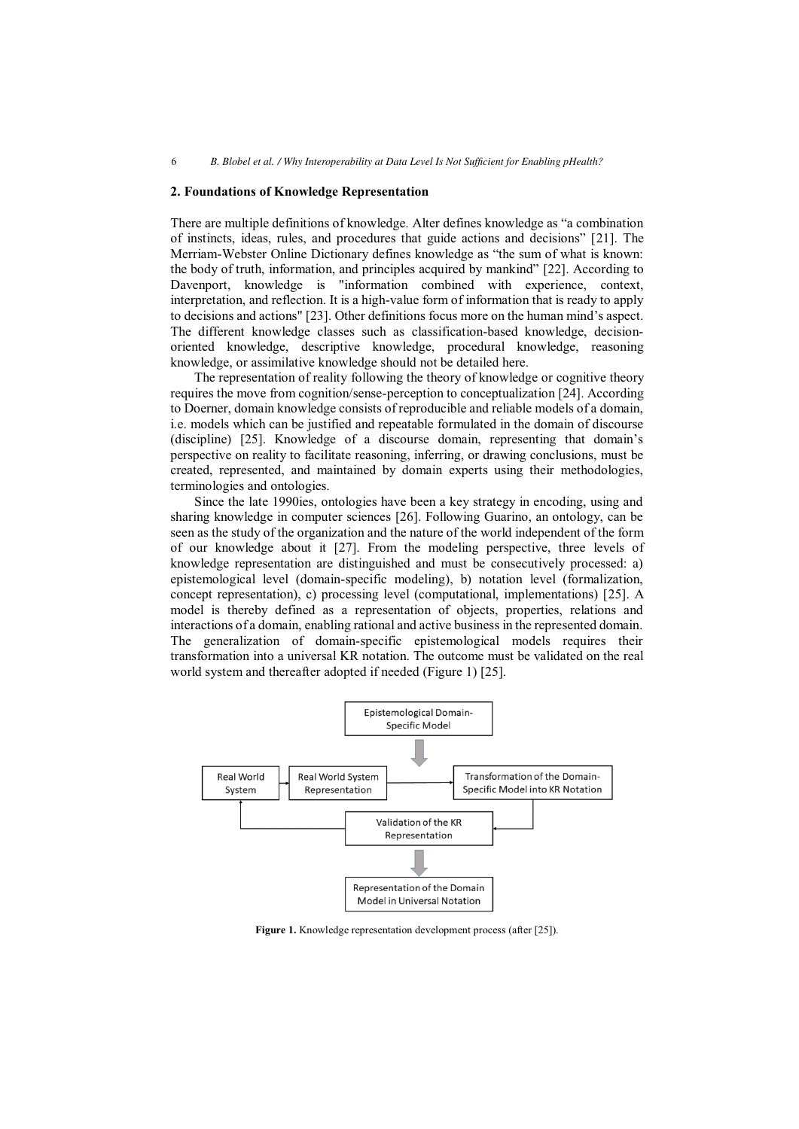#### **2. Foundations of Knowledge Representation**

There are multiple definitions of knowledge. Alter defines knowledge as "a combination of instincts, ideas, rules, and procedures that guide actions and decisions" [21]. The Merriam-Webster Online Dictionary defines knowledge as "the sum of what is known: the body of truth, information, and principles acquired by mankind" [22]. According to Davenport, knowledge is "information combined with experience, context, interpretation, and reflection. It is a high-value form of information that is ready to apply to decisions and actions" [23]. Other definitions focus more on the human mind's aspect. The different knowledge classes such as classification-based knowledge, decisionoriented knowledge, descriptive knowledge, procedural knowledge, reasoning knowledge, or assimilative knowledge should not be detailed here.

The representation of reality following the theory of knowledge or cognitive theory requires the move from cognition/sense-perception to conceptualization [24]. According to Doerner, domain knowledge consists of reproducible and reliable models of a domain, i.e. models which can be justified and repeatable formulated in the domain of discourse (discipline) [25]. Knowledge of a discourse domain, representing that domain's perspective on reality to facilitate reasoning, inferring, or drawing conclusions, must be created, represented, and maintained by domain experts using their methodologies, terminologies and ontologies.

Since the late 1990ies, ontologies have been a key strategy in encoding, using and sharing knowledge in computer sciences [26]. Following Guarino, an ontology, can be seen as the study of the organization and the nature of the world independent of the form of our knowledge about it [27]. From the modeling perspective, three levels of knowledge representation are distinguished and must be consecutively processed: a) epistemological level (domain-specific modeling), b) notation level (formalization, concept representation), c) processing level (computational, implementations) [25]. A model is thereby defined as a representation of objects, properties, relations and interactions of a domain, enabling rational and active business in the represented domain. The generalization of domain-specific epistemological models requires their transformation into a universal KR notation. The outcome must be validated on the real world system and thereafter adopted if needed (Figure 1) [25].



**Figure 1.** Knowledge representation development process (after [25]).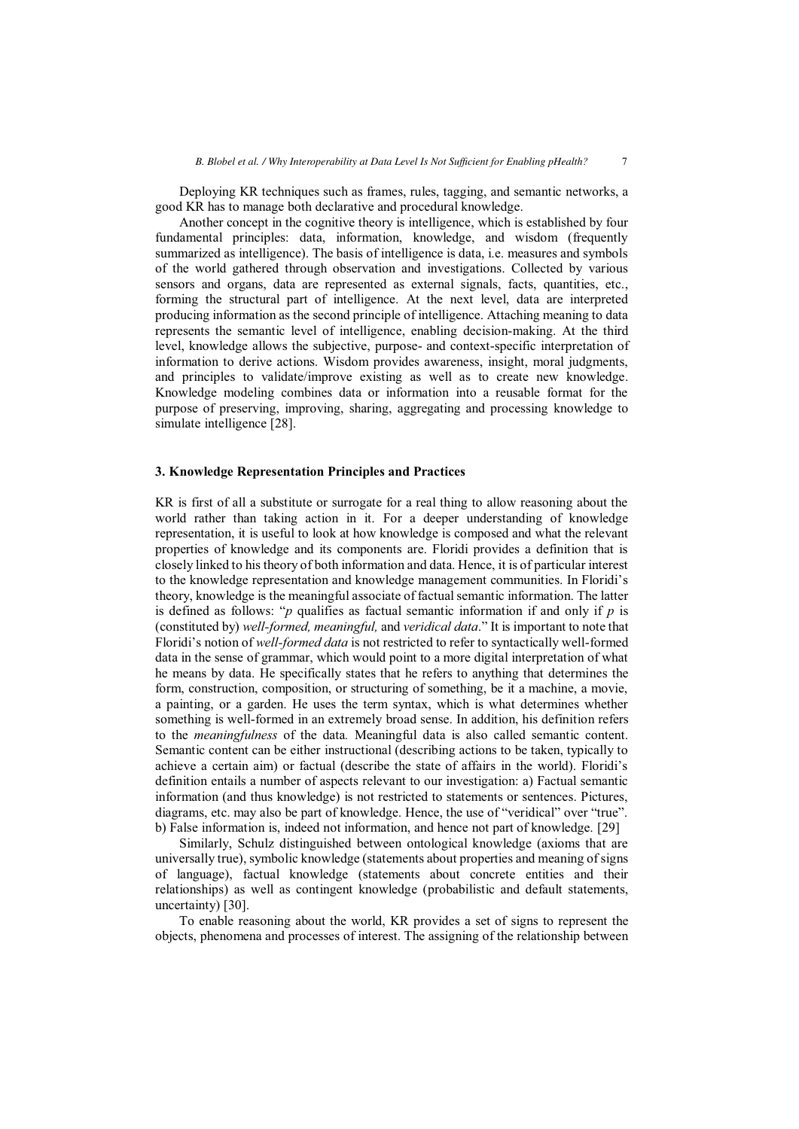Deploying KR techniques such as frames, rules, tagging, and semantic networks, a good KR has to manage both declarative and procedural knowledge.

Another concept in the cognitive theory is intelligence, which is established by four fundamental principles: data, information, knowledge, and wisdom (frequently summarized as intelligence). The basis of intelligence is data, i.e. measures and symbols of the world gathered through observation and investigations. Collected by various sensors and organs, data are represented as external signals, facts, quantities, etc., forming the structural part of intelligence. At the next level, data are interpreted producing information as the second principle of intelligence. Attaching meaning to data represents the semantic level of intelligence, enabling decision-making. At the third level, knowledge allows the subjective, purpose- and context-specific interpretation of information to derive actions. Wisdom provides awareness, insight, moral judgments, and principles to validate/improve existing as well as to create new knowledge. Knowledge modeling combines data or information into a reusable format for the purpose of preserving, improving, sharing, aggregating and processing knowledge to simulate intelligence [28].

#### **3. Knowledge Representation Principles and Practices**

KR is first of all a substitute or surrogate for a real thing to allow reasoning about the world rather than taking action in it. For a deeper understanding of knowledge representation, it is useful to look at how knowledge is composed and what the relevant properties of knowledge and its components are. Floridi provides a definition that is closely linked to his theory of both information and data. Hence, it is of particular interest to the knowledge representation and knowledge management communities. In Floridi's theory, knowledge is the meaningful associate of factual semantic information. The latter is defined as follows: " $p$  qualifies as factual semantic information if and only if  $p$  is (constituted by) *well-formed, meaningful,* and *veridical data*." It is important to note that Floridi's notion of *well-formed data* is not restricted to refer to syntactically well-formed data in the sense of grammar, which would point to a more digital interpretation of what he means by data. He specifically states that he refers to anything that determines the form, construction, composition, or structuring of something, be it a machine, a movie, a painting, or a garden. He uses the term syntax, which is what determines whether something is well-formed in an extremely broad sense. In addition, his definition refers to the *meaningfulness* of the data*.* Meaningful data is also called semantic content. Semantic content can be either instructional (describing actions to be taken, typically to achieve a certain aim) or factual (describe the state of affairs in the world). Floridi's definition entails a number of aspects relevant to our investigation: a) Factual semantic information (and thus knowledge) is not restricted to statements or sentences. Pictures, diagrams, etc. may also be part of knowledge. Hence, the use of "veridical" over "true". b) False information is, indeed not information, and hence not part of knowledge. [29]

Similarly, Schulz distinguished between ontological knowledge (axioms that are universally true), symbolic knowledge (statements about properties and meaning of signs of language), factual knowledge (statements about concrete entities and their relationships) as well as contingent knowledge (probabilistic and default statements, uncertainty) [30].

To enable reasoning about the world, KR provides a set of signs to represent the objects, phenomena and processes of interest. The assigning of the relationship between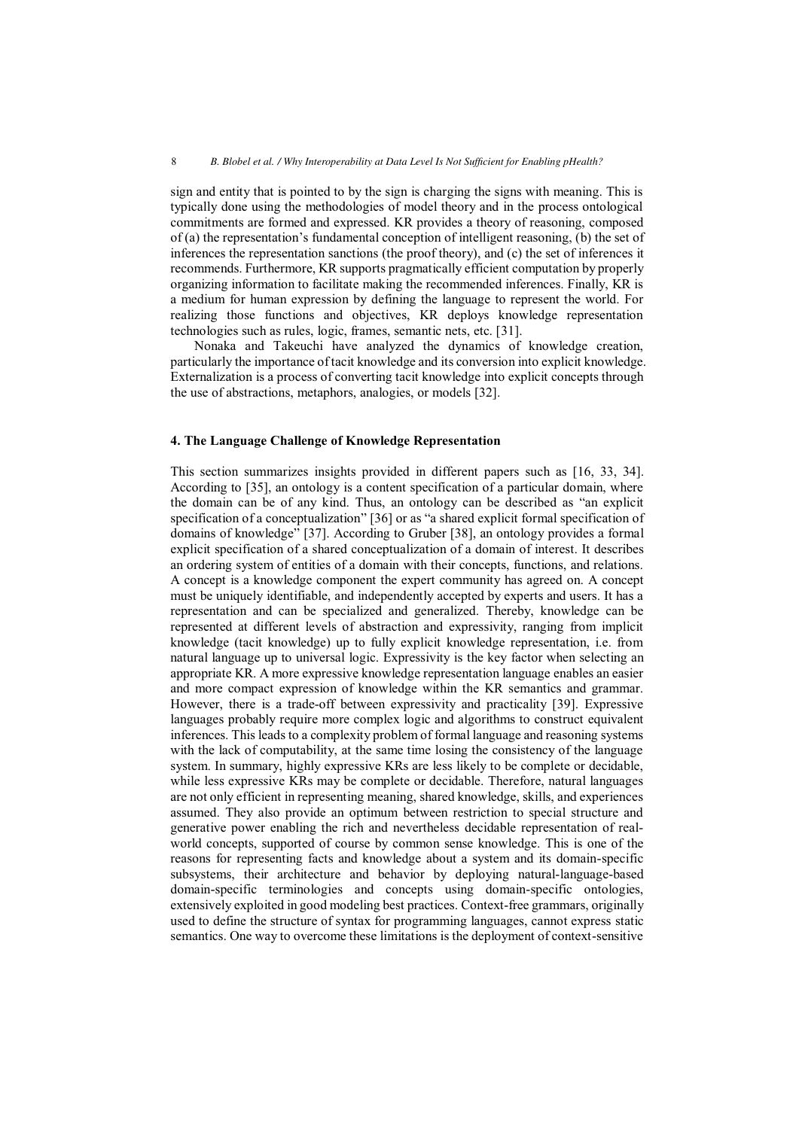sign and entity that is pointed to by the sign is charging the signs with meaning. This is typically done using the methodologies of model theory and in the process ontological commitments are formed and expressed. KR provides a theory of reasoning, composed of (a) the representation's fundamental conception of intelligent reasoning, (b) the set of inferences the representation sanctions (the proof theory), and (c) the set of inferences it recommends. Furthermore, KR supports pragmatically efficient computation by properly organizing information to facilitate making the recommended inferences. Finally, KR is a medium for human expression by defining the language to represent the world. For realizing those functions and objectives, KR deploys knowledge representation technologies such as rules, logic, frames, semantic nets, etc. [31].

Nonaka and Takeuchi have analyzed the dynamics of knowledge creation, particularly the importance of tacit knowledge and its conversion into explicit knowledge. Externalization is a process of converting tacit knowledge into explicit concepts through the use of abstractions, metaphors, analogies, or models [32].

#### **4. The Language Challenge of Knowledge Representation**

This section summarizes insights provided in different papers such as [16, 33, 34]. According to [35], an ontology is a content specification of a particular domain, where the domain can be of any kind. Thus, an ontology can be described as "an explicit specification of a conceptualization" [36] or as "a shared explicit formal specification of domains of knowledge" [37]. According to Gruber [38], an ontology provides a formal explicit specification of a shared conceptualization of a domain of interest. It describes an ordering system of entities of a domain with their concepts, functions, and relations. A concept is a knowledge component the expert community has agreed on. A concept must be uniquely identifiable, and independently accepted by experts and users. It has a representation and can be specialized and generalized. Thereby, knowledge can be represented at different levels of abstraction and expressivity, ranging from implicit knowledge (tacit knowledge) up to fully explicit knowledge representation, i.e. from natural language up to universal logic. Expressivity is the key factor when selecting an appropriate KR. A more expressive knowledge representation language enables an easier and more compact expression of knowledge within the KR semantics and grammar. However, there is a trade-off between expressivity and practicality [39]. Expressive languages probably require more complex logic and algorithms to construct equivalent inferences. This leads to a complexity problem of formal language and reasoning systems with the lack of computability, at the same time losing the consistency of the language system. In summary, highly expressive KRs are less likely to be complete or decidable, while less expressive KRs may be complete or decidable. Therefore, natural languages are not only efficient in representing meaning, shared knowledge, skills, and experiences assumed. They also provide an optimum between restriction to special structure and generative power enabling the rich and nevertheless decidable representation of realworld concepts, supported of course by common sense knowledge. This is one of the reasons for representing facts and knowledge about a system and its domain-specific subsystems, their architecture and behavior by deploying natural-language-based domain-specific terminologies and concepts using domain-specific ontologies, extensively exploited in good modeling best practices. Context-free grammars, originally used to define the structure of syntax for programming languages, cannot express static semantics. One way to overcome these limitations is the deployment of context-sensitive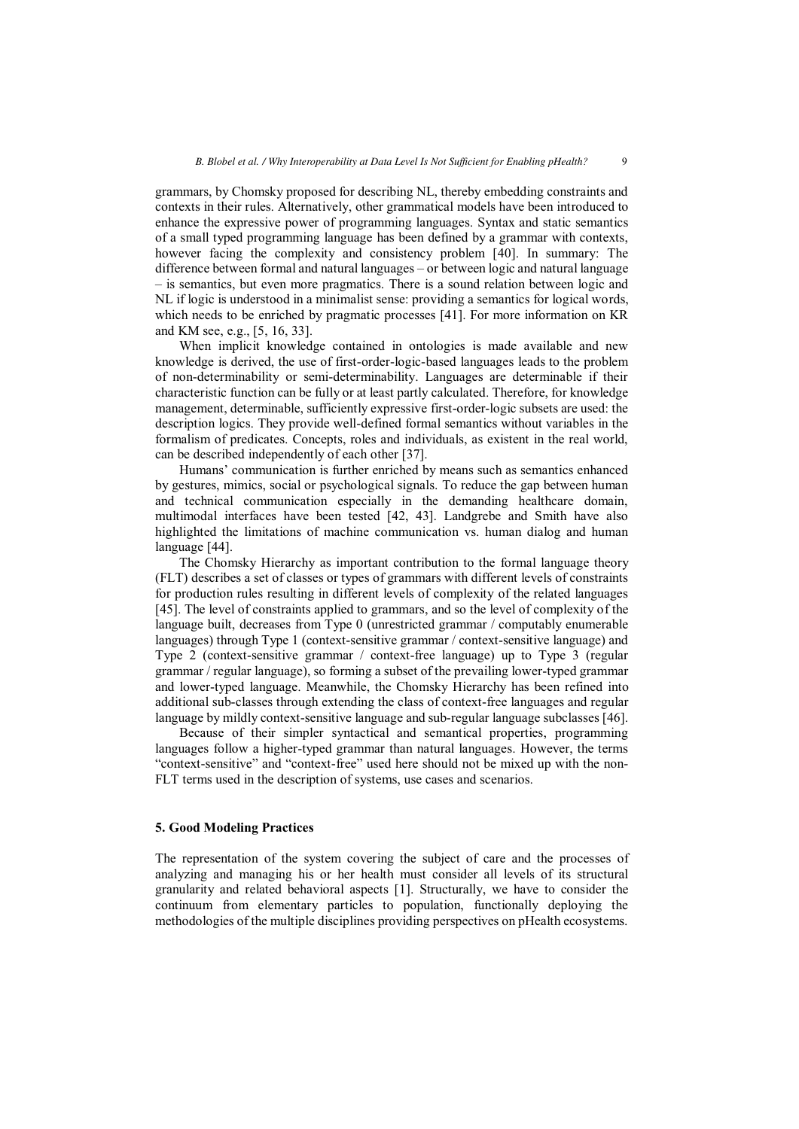grammars, by Chomsky proposed for describing NL, thereby embedding constraints and contexts in their rules. Alternatively, other grammatical models have been introduced to enhance the expressive power of programming languages. Syntax and static semantics of a small typed programming language has been defined by a grammar with contexts, however facing the complexity and consistency problem [40]. In summary: The difference between formal and natural languages – or between logic and natural language – is semantics, but even more pragmatics. There is a sound relation between logic and NL if logic is understood in a minimalist sense: providing a semantics for logical words, which needs to be enriched by pragmatic processes [41]. For more information on KR and KM see, e.g., [5, 16, 33].

When implicit knowledge contained in ontologies is made available and new knowledge is derived, the use of first-order-logic-based languages leads to the problem of non-determinability or semi-determinability. Languages are determinable if their characteristic function can be fully or at least partly calculated. Therefore, for knowledge management, determinable, sufficiently expressive first-order-logic subsets are used: the description logics. They provide well-defined formal semantics without variables in the formalism of predicates. Concepts, roles and individuals, as existent in the real world, can be described independently of each other [37].

Humans' communication is further enriched by means such as semantics enhanced by gestures, mimics, social or psychological signals. To reduce the gap between human and technical communication especially in the demanding healthcare domain, multimodal interfaces have been tested [42, 43]. Landgrebe and Smith have also highlighted the limitations of machine communication vs. human dialog and human language [44].

The Chomsky Hierarchy as important contribution to the formal language theory (FLT) describes a set of classes or types of grammars with different levels of constraints for production rules resulting in different levels of complexity of the related languages [45]. The level of constraints applied to grammars, and so the level of complexity of the language built, decreases from Type 0 (unrestricted grammar / computably enumerable languages) through Type 1 (context-sensitive grammar / context-sensitive language) and Type 2 (context-sensitive grammar / context-free language) up to Type 3 (regular grammar / regular language), so forming a subset of the prevailing lower-typed grammar and lower-typed language. Meanwhile, the Chomsky Hierarchy has been refined into additional sub-classes through extending the class of context-free languages and regular language by mildly context-sensitive language and sub-regular language subclasses [46].

Because of their simpler syntactical and semantical properties, programming languages follow a higher-typed grammar than natural languages. However, the terms "context-sensitive" and "context-free" used here should not be mixed up with the non-FLT terms used in the description of systems, use cases and scenarios.

## **5. Good Modeling Practices**

The representation of the system covering the subject of care and the processes of analyzing and managing his or her health must consider all levels of its structural granularity and related behavioral aspects [1]. Structurally, we have to consider the continuum from elementary particles to population, functionally deploying the methodologies of the multiple disciplines providing perspectives on pHealth ecosystems.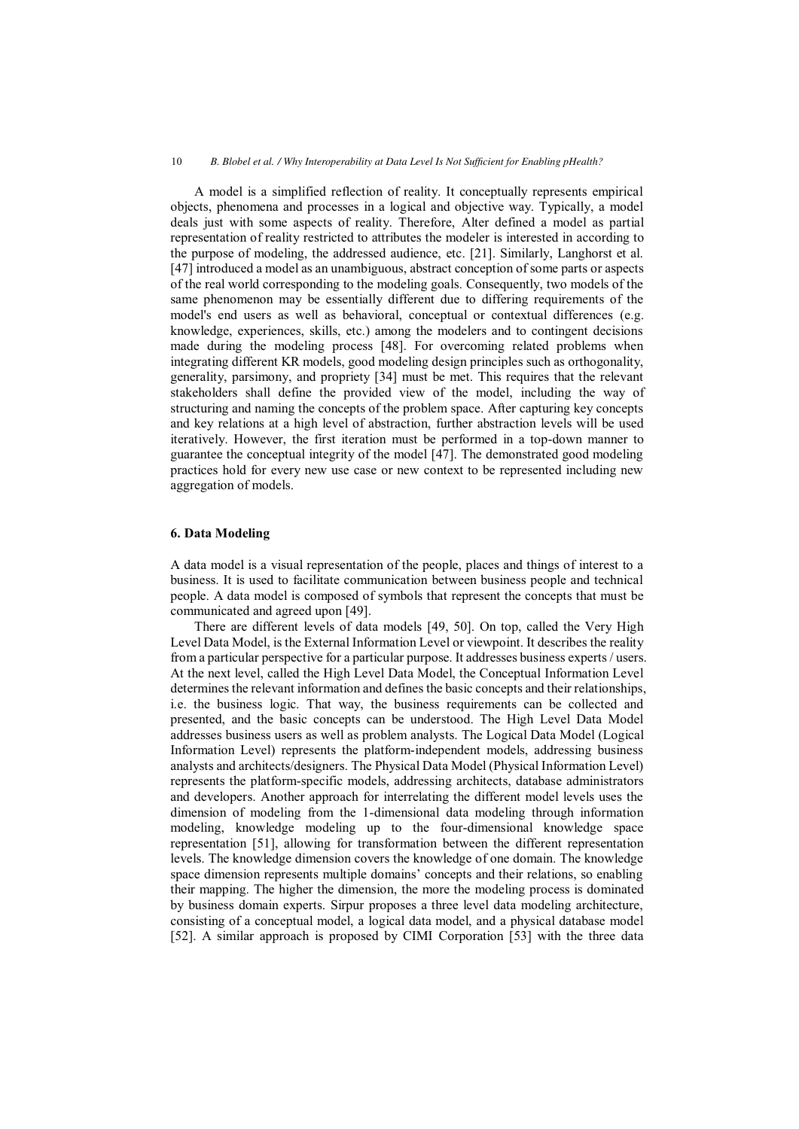A model is a simplified reflection of reality. It conceptually represents empirical objects, phenomena and processes in a logical and objective way. Typically, a model deals just with some aspects of reality. Therefore, Alter defined a model as partial representation of reality restricted to attributes the modeler is interested in according to the purpose of modeling, the addressed audience, etc. [21]. Similarly, Langhorst et al. [47] introduced a model as an unambiguous, abstract conception of some parts or aspects of the real world corresponding to the modeling goals. Consequently, two models of the same phenomenon may be essentially different due to differing requirements of the model's end users as well as behavioral, conceptual or contextual differences (e.g. knowledge, experiences, skills, etc.) among the modelers and to contingent decisions made during the modeling process [48]. For overcoming related problems when integrating different KR models, good modeling design principles such as orthogonality, generality, parsimony, and propriety [34] must be met. This requires that the relevant stakeholders shall define the provided view of the model, including the way of structuring and naming the concepts of the problem space. After capturing key concepts and key relations at a high level of abstraction, further abstraction levels will be used iteratively. However, the first iteration must be performed in a top-down manner to guarantee the conceptual integrity of the model [47]. The demonstrated good modeling practices hold for every new use case or new context to be represented including new aggregation of models.

#### **6. Data Modeling**

A data model is a visual representation of the people, places and things of interest to a business. It is used to facilitate communication between business people and technical people. A data model is composed of symbols that represent the concepts that must be communicated and agreed upon [49].

There are different levels of data models [49, 50]. On top, called the Very High Level Data Model, is the External Information Level or viewpoint. It describes the reality from a particular perspective for a particular purpose. It addresses business experts / users. At the next level, called the High Level Data Model, the Conceptual Information Level determines the relevant information and defines the basic concepts and their relationships, i.e. the business logic. That way, the business requirements can be collected and presented, and the basic concepts can be understood. The High Level Data Model addresses business users as well as problem analysts. The Logical Data Model (Logical Information Level) represents the platform-independent models, addressing business analysts and architects/designers. The Physical Data Model (Physical Information Level) represents the platform-specific models, addressing architects, database administrators and developers. Another approach for interrelating the different model levels uses the dimension of modeling from the 1-dimensional data modeling through information modeling, knowledge modeling up to the four-dimensional knowledge space representation [51], allowing for transformation between the different representation levels. The knowledge dimension covers the knowledge of one domain. The knowledge space dimension represents multiple domains' concepts and their relations, so enabling their mapping. The higher the dimension, the more the modeling process is dominated by business domain experts. Sirpur proposes a three level data modeling architecture, consisting of a conceptual model, a logical data model, and a physical database model [52]. A similar approach is proposed by CIMI Corporation [53] with the three data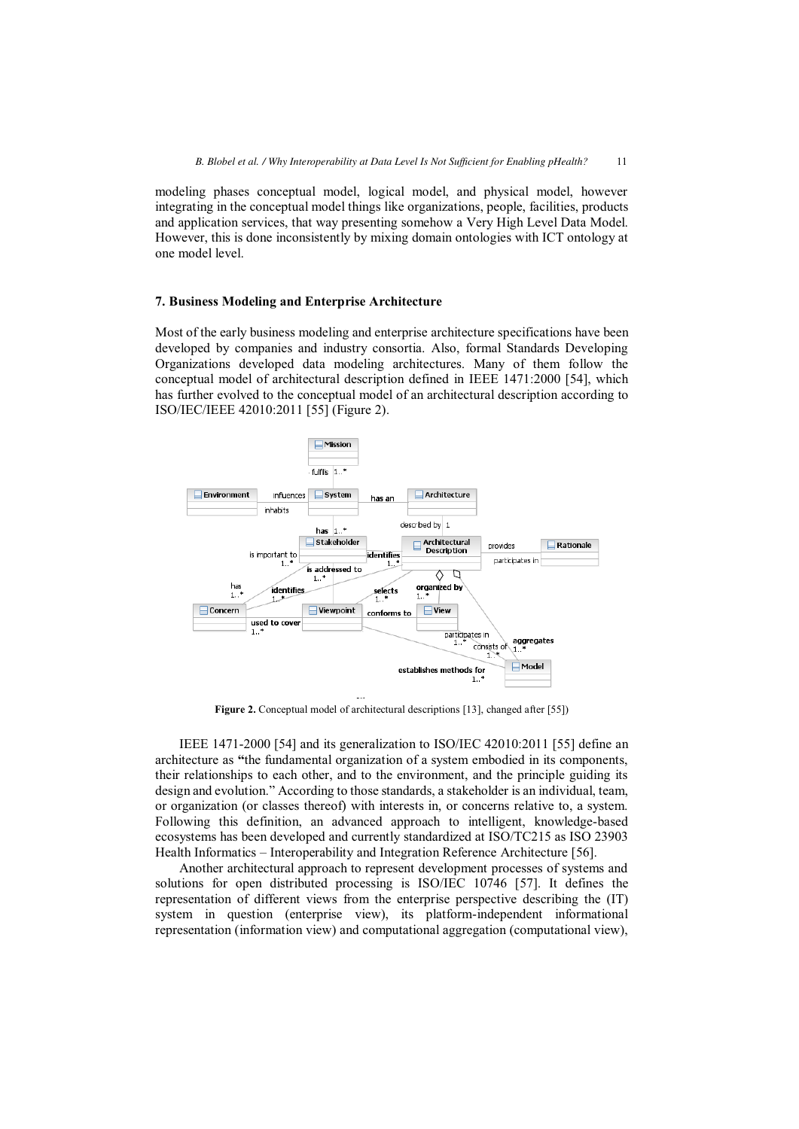modeling phases conceptual model, logical model, and physical model, however integrating in the conceptual model things like organizations, people, facilities, products and application services, that way presenting somehow a Very High Level Data Model. However, this is done inconsistently by mixing domain ontologies with ICT ontology at one model level.

## **7. Business Modeling and Enterprise Architecture**

Most of the early business modeling and enterprise architecture specifications have been developed by companies and industry consortia. Also, formal Standards Developing Organizations developed data modeling architectures. Many of them follow the conceptual model of architectural description defined in IEEE 1471:2000 [54], which has further evolved to the conceptual model of an architectural description according to ISO/IEC/IEEE 42010:2011 [55] (Figure 2).



**Figure 2.** Conceptual model of architectural descriptions [13], changed after [55])

IEEE 1471-2000 [54] and its generalization to ISO/IEC 42010:2011 [55] define an architecture as **"**the fundamental organization of a system embodied in its components, their relationships to each other, and to the environment, and the principle guiding its design and evolution." According to those standards, a stakeholder is an individual, team, or organization (or classes thereof) with interests in, or concerns relative to, a system. Following this definition, an advanced approach to intelligent, knowledge-based ecosystems has been developed and currently standardized at ISO/TC215 as ISO 23903 Health Informatics – Interoperability and Integration Reference Architecture [56].

Another architectural approach to represent development processes of systems and solutions for open distributed processing is ISO/IEC 10746 [57]. It defines the representation of different views from the enterprise perspective describing the (IT) system in question (enterprise view), its platform-independent informational representation (information view) and computational aggregation (computational view),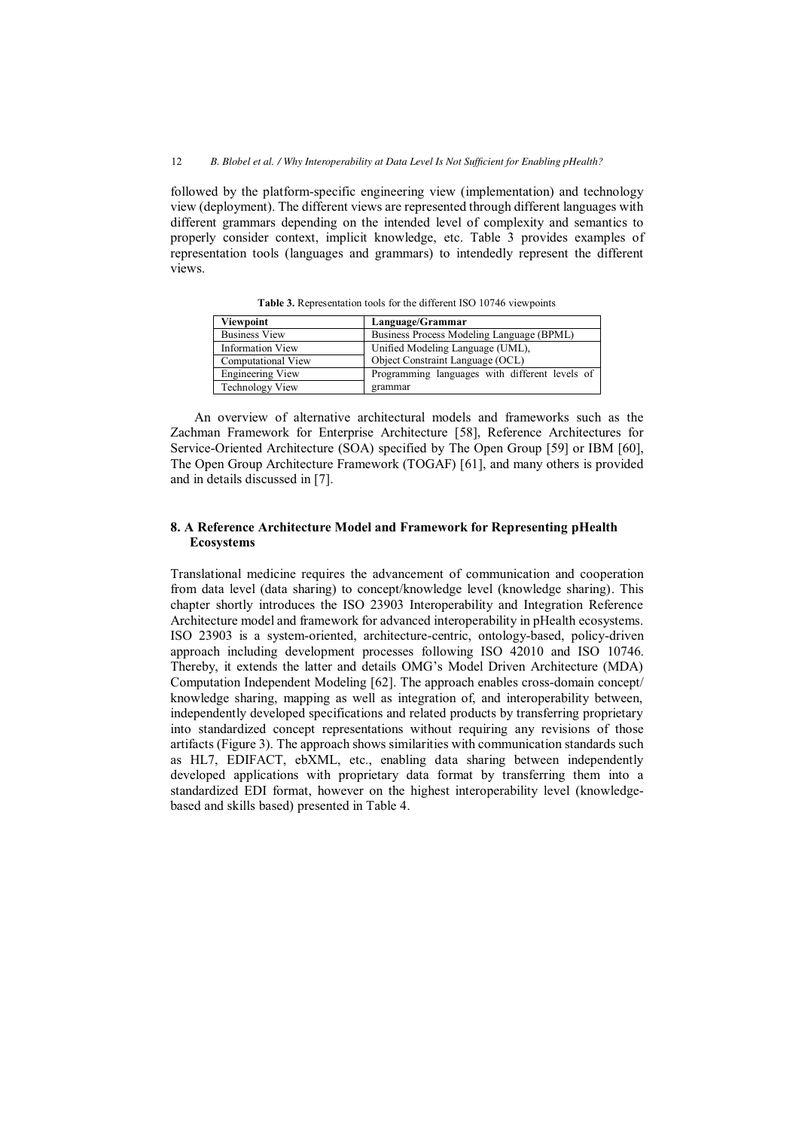followed by the platform-specific engineering view (implementation) and technology view (deployment). The different views are represented through different languages with different grammars depending on the intended level of complexity and semantics to properly consider context, implicit knowledge, etc. Table 3 provides examples of representation tools (languages and grammars) to intendedly represent the different views.

| Viewpoint               | Language/Grammar                               |
|-------------------------|------------------------------------------------|
| <b>Business View</b>    | Business Process Modeling Language (BPML)      |
| <b>Information View</b> | Unified Modeling Language (UML),               |
| Computational View      | Object Constraint Language (OCL)               |
| <b>Engineering View</b> | Programming languages with different levels of |
| <b>Technology View</b>  | grammar                                        |

**Table 3.** Representation tools for the different ISO 10746 viewpoints

An overview of alternative architectural models and frameworks such as the Zachman Framework for Enterprise Architecture [58], Reference Architectures for Service-Oriented Architecture (SOA) specified by The Open Group [59] or IBM [60], The Open Group Architecture Framework (TOGAF) [61], and many others is provided and in details discussed in [7].

## **8. A Reference Architecture Model and Framework for Representing pHealth Ecosystems**

Translational medicine requires the advancement of communication and cooperation from data level (data sharing) to concept/knowledge level (knowledge sharing). This chapter shortly introduces the ISO 23903 Interoperability and Integration Reference Architecture model and framework for advanced interoperability in pHealth ecosystems. ISO 23903 is a system-oriented, architecture-centric, ontology-based, policy-driven approach including development processes following ISO 42010 and ISO 10746. Thereby, it extends the latter and details OMG's Model Driven Architecture (MDA) Computation Independent Modeling [62]. The approach enables cross-domain concept/ knowledge sharing, mapping as well as integration of, and interoperability between, independently developed specifications and related products by transferring proprietary into standardized concept representations without requiring any revisions of those artifacts (Figure 3). The approach shows similarities with communication standards such as HL7, EDIFACT, ebXML, etc., enabling data sharing between independently developed applications with proprietary data format by transferring them into a standardized EDI format, however on the highest interoperability level (knowledgebased and skills based) presented in Table 4.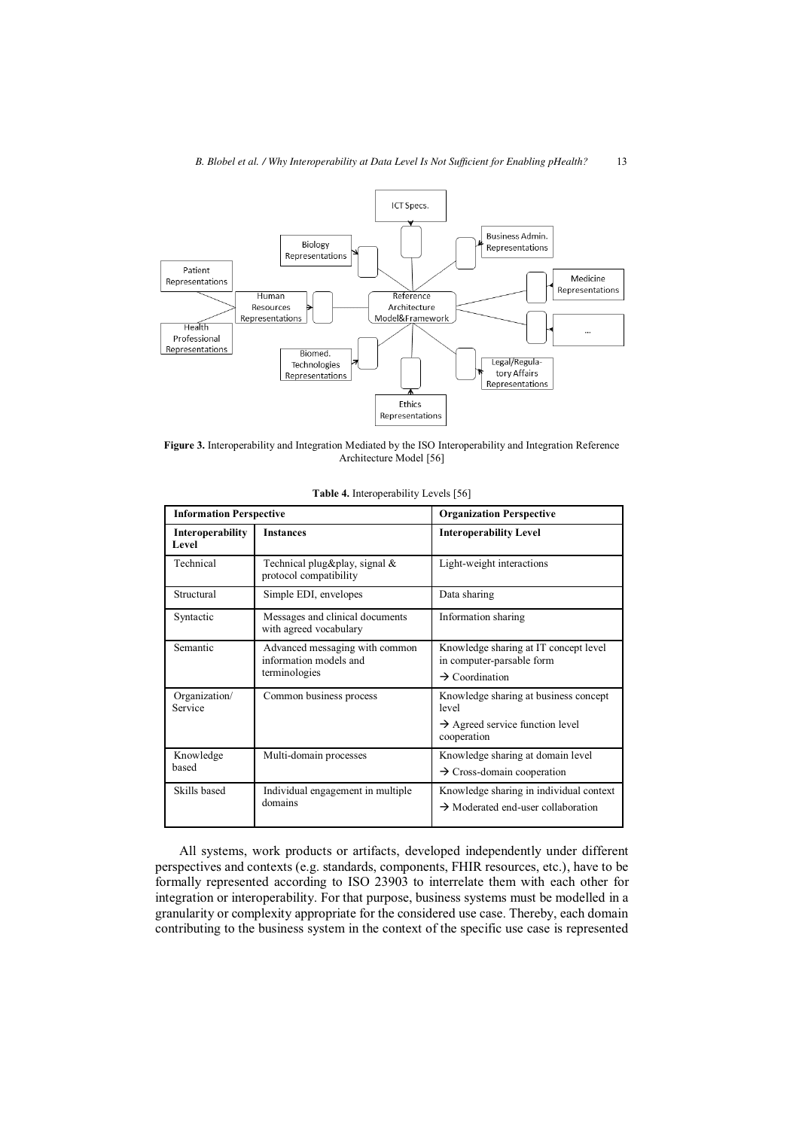

**Figure 3.** Interoperability and Integration Mediated by the ISO Interoperability and Integration Reference Architecture Model [56]

| <b>Information Perspective</b>                                                        |                                                           | <b>Organization Perspective</b>                                                                              |  |  |
|---------------------------------------------------------------------------------------|-----------------------------------------------------------|--------------------------------------------------------------------------------------------------------------|--|--|
| Interoperability<br>Level                                                             | <b>Instances</b>                                          | <b>Interoperability Level</b>                                                                                |  |  |
| Technical                                                                             | Technical plug&play, signal &<br>protocol compatibility   | Light-weight interactions                                                                                    |  |  |
| Structural                                                                            | Simple EDI, envelopes                                     | Data sharing                                                                                                 |  |  |
| Syntactic                                                                             | Messages and clinical documents<br>with agreed vocabulary | Information sharing                                                                                          |  |  |
| Advanced messaging with common<br>Semantic<br>information models and<br>terminologies |                                                           | Knowledge sharing at IT concept level<br>in computer-parsable form<br>$\rightarrow$ Coordination             |  |  |
| Organization/<br>Service                                                              | Common business process                                   | Knowledge sharing at business concept<br>level<br>$\rightarrow$ Agreed service function level<br>cooperation |  |  |
| Knowledge<br>Multi-domain processes<br>based                                          |                                                           | Knowledge sharing at domain level<br>$\rightarrow$ Cross-domain cooperation                                  |  |  |
| Skills based<br>Individual engagement in multiple<br>domains                          |                                                           | Knowledge sharing in individual context<br>$\rightarrow$ Moderated end-user collaboration                    |  |  |

**Table 4.** Interoperability Levels [56]

All systems, work products or artifacts, developed independently under different perspectives and contexts (e.g. standards, components, FHIR resources, etc.), have to be formally represented according to ISO 23903 to interrelate them with each other for integration or interoperability. For that purpose, business systems must be modelled in a granularity or complexity appropriate for the considered use case. Thereby, each domain contributing to the business system in the context of the specific use case is represented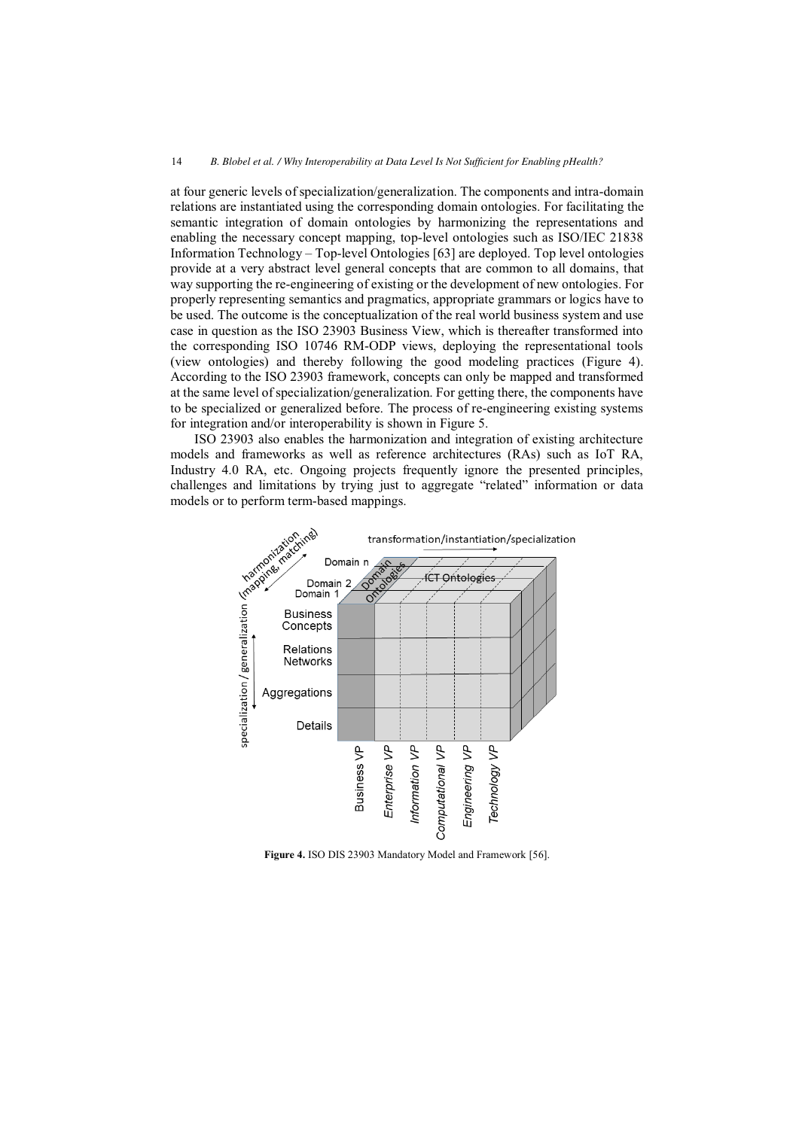at four generic levels of specialization/generalization. The components and intra-domain relations are instantiated using the corresponding domain ontologies. For facilitating the semantic integration of domain ontologies by harmonizing the representations and enabling the necessary concept mapping, top-level ontologies such as ISO/IEC 21838 Information Technology – Top-level Ontologies [63] are deployed. Top level ontologies provide at a very abstract level general concepts that are common to all domains, that way supporting the re-engineering of existing or the development of new ontologies. For properly representing semantics and pragmatics, appropriate grammars or logics have to be used. The outcome is the conceptualization of the real world business system and use case in question as the ISO 23903 Business View, which is thereafter transformed into the corresponding ISO 10746 RM-ODP views, deploying the representational tools (view ontologies) and thereby following the good modeling practices (Figure 4). According to the ISO 23903 framework, concepts can only be mapped and transformed at the same level of specialization/generalization. For getting there, the components have to be specialized or generalized before. The process of re-engineering existing systems for integration and/or interoperability is shown in Figure 5.

ISO 23903 also enables the harmonization and integration of existing architecture models and frameworks as well as reference architectures (RAs) such as IoT RA, challenges and limitations by trying just to aggregate "related" information or data models or to perform term-based mappings.



**Figure 4.** ISO DIS 23903 Mandatory Model and Framework [56].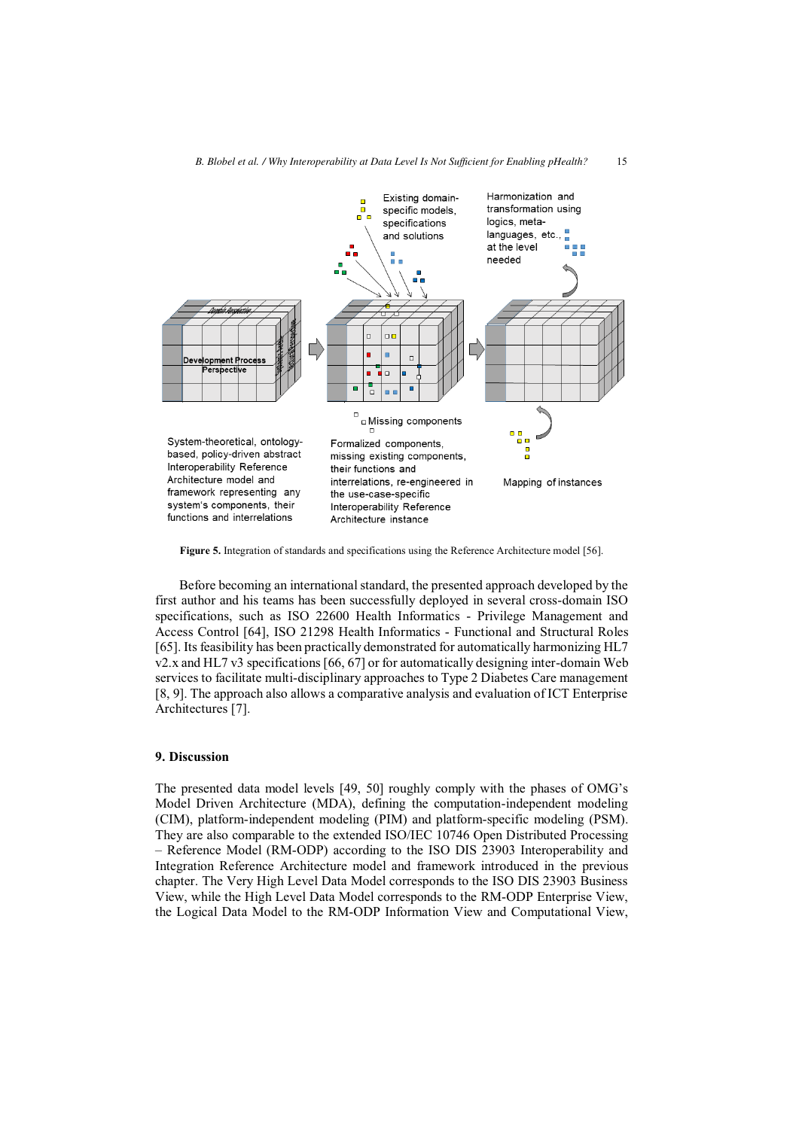

**Figure 5.** Integration of standards and specifications using the Reference Architecture model [56].

Before becoming an international standard, the presented approach developed by the first author and his teams has been successfully deployed in several cross-domain ISO specifications, such as ISO 22600 Health Informatics - Privilege Management and Access Control [64], ISO 21298 Health Informatics - Functional and Structural Roles [65]. Its feasibility has been practically demonstrated for automatically harmonizing HL7 v2.x and HL7 v3 specifications [66, 67] or for automatically designing inter-domain Web services to facilitate multi-disciplinary approaches to Type 2 Diabetes Care management [8, 9]. The approach also allows a comparative analysis and evaluation of ICT Enterprise Architectures [7].

#### **9. Discussion**

The presented data model levels [49, 50] roughly comply with the phases of OMG's Model Driven Architecture (MDA), defining the computation-independent modeling (CIM), platform-independent modeling (PIM) and platform-specific modeling (PSM). They are also comparable to the extended ISO/IEC 10746 Open Distributed Processing – Reference Model (RM-ODP) according to the ISO DIS 23903 Interoperability and Integration Reference Architecture model and framework introduced in the previous chapter. The Very High Level Data Model corresponds to the ISO DIS 23903 Business View, while the High Level Data Model corresponds to the RM-ODP Enterprise View, the Logical Data Model to the RM-ODP Information View and Computational View,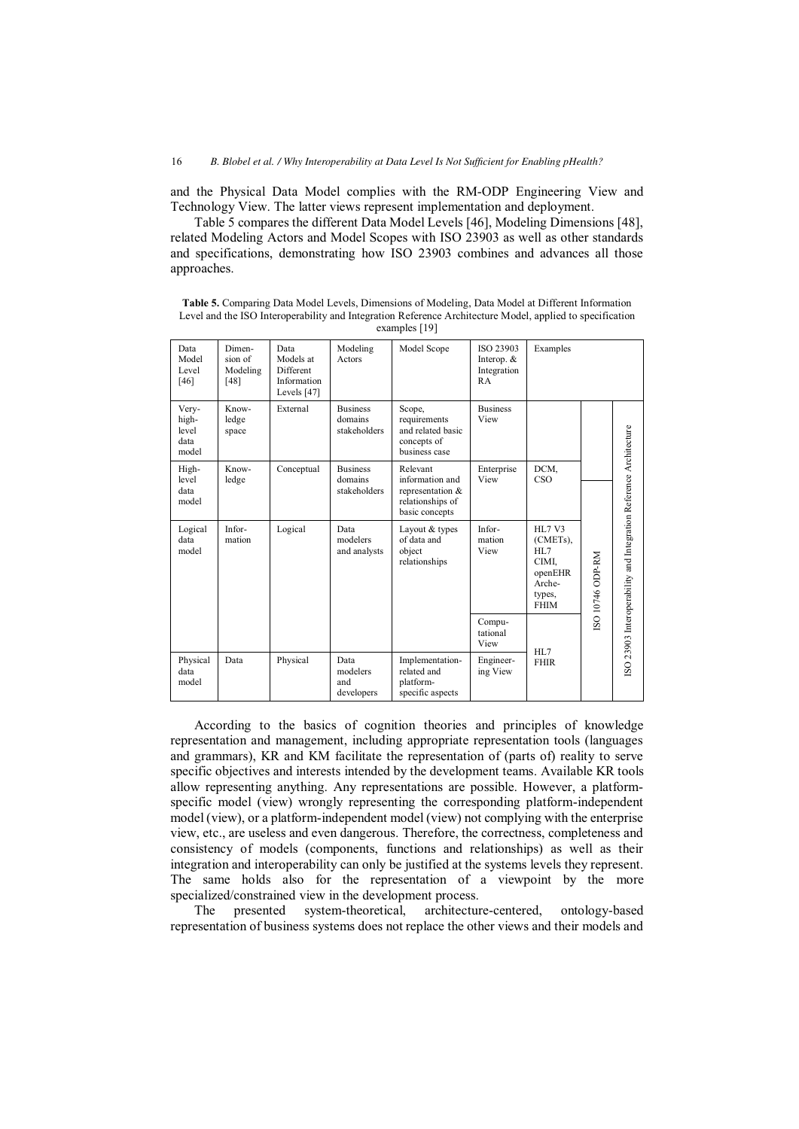and the Physical Data Model complies with the RM-ODP Engineering View and Technology View. The latter views represent implementation and deployment.

Table 5 compares the different Data Model Levels [46], Modeling Dimensions [48], related Modeling Actors and Model Scopes with ISO 23903 as well as other standards and specifications, demonstrating how ISO 23903 combines and advances all those approaches.

| Data<br>Model<br>Level<br>[46]           | Dimen-<br>sion of<br>Modeling<br>[48] | Data<br>Models at<br>Different<br>Information<br>Levels [47] | Modeling<br>Actors                         | Model Scope                                                                              | ISO 23903<br>Interop. &<br>Integration<br>RA | Examples                                                                                       |                 |                                                                   |
|------------------------------------------|---------------------------------------|--------------------------------------------------------------|--------------------------------------------|------------------------------------------------------------------------------------------|----------------------------------------------|------------------------------------------------------------------------------------------------|-----------------|-------------------------------------------------------------------|
| Very-<br>high-<br>level<br>data<br>model | Know-<br>ledge<br>space               | External                                                     | <b>Business</b><br>domains<br>stakeholders | Scope,<br>requirements<br>and related basic<br>concepts of<br>business case              | <b>Business</b><br>View                      |                                                                                                |                 |                                                                   |
| High-<br>level<br>data<br>model          | Know-<br>ledge                        | Conceptual                                                   | <b>Business</b><br>domains<br>stakeholders | Relevant<br>information and<br>representation $\&$<br>relationships of<br>basic concepts | Enterprise<br>View                           | DCM,<br>CSO                                                                                    |                 |                                                                   |
| Logical<br>data<br>model                 | Infor-<br>mation                      | Logical                                                      | Data<br>modelers<br>and analysts           | Layout & types<br>of data and<br>object<br>relationships                                 | Infor-<br>mation<br>View                     | HL7 V3<br>(CMET <sub>s</sub> ),<br>HI.7<br>CIMI,<br>openEHR<br>Arche-<br>types,<br><b>FHIM</b> | SO 10746 ODP-RM | ISO 23903 Interoperability and Integration Reference Architecture |
|                                          |                                       |                                                              |                                            |                                                                                          | Compu-<br>tational<br>View                   | HL7                                                                                            |                 |                                                                   |
| Physical<br>data<br>model                | Data                                  | Physical                                                     | Data<br>modelers<br>and<br>developers      | Implementation-<br>related and<br>platform-<br>specific aspects                          | Engineer-<br>ing View                        | <b>FHIR</b>                                                                                    |                 |                                                                   |

**Table 5.** Comparing Data Model Levels, Dimensions of Modeling, Data Model at Different Information Level and the ISO Interoperability and Integration Reference Architecture Model, applied to specification examples [19]

According to the basics of cognition theories and principles of knowledge representation and management, including appropriate representation tools (languages and grammars), KR and KM facilitate the representation of (parts of) reality to serve specific objectives and interests intended by the development teams. Available KR tools allow representing anything. Any representations are possible. However, a platformspecific model (view) wrongly representing the corresponding platform-independent model (view), or a platform-independent model (view) not complying with the enterprise view, etc., are useless and even dangerous. Therefore, the correctness, completeness and consistency of models (components, functions and relationships) as well as their integration and interoperability can only be justified at the systems levels they represent. The same holds also for the representation of a viewpoint by the more specialized/constrained view in the development process.

The presented system-theoretical, architecture-centered, ontology-based representation of business systems does not replace the other views and their models and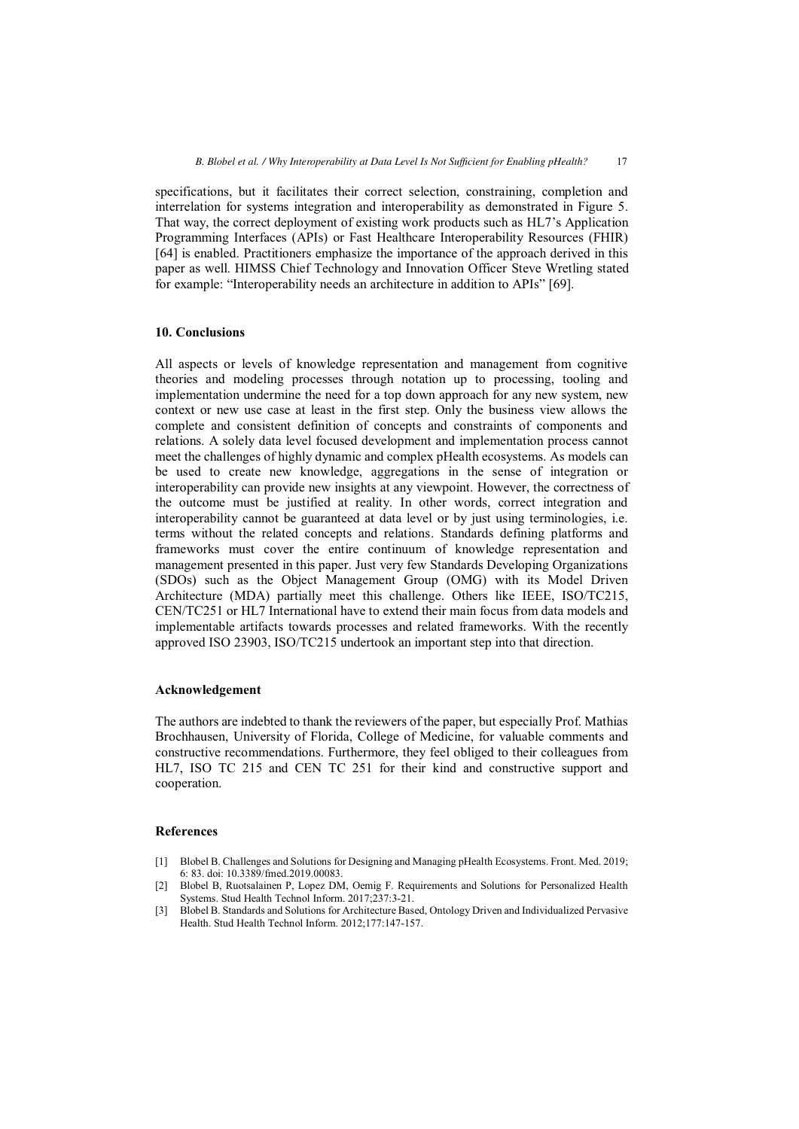specifications, but it facilitates their correct selection, constraining, completion and interrelation for systems integration and interoperability as demonstrated in Figure 5. That way, the correct deployment of existing work products such as HL7's Application Programming Interfaces (APIs) or Fast Healthcare Interoperability Resources (FHIR) [64] is enabled. Practitioners emphasize the importance of the approach derived in this paper as well. HIMSS Chief Technology and Innovation Officer Steve Wretling stated for example: "Interoperability needs an architecture in addition to APIs" [69].

## **10. Conclusions**

All aspects or levels of knowledge representation and management from cognitive theories and modeling processes through notation up to processing, tooling and implementation undermine the need for a top down approach for any new system, new context or new use case at least in the first step. Only the business view allows the complete and consistent definition of concepts and constraints of components and relations. A solely data level focused development and implementation process cannot meet the challenges of highly dynamic and complex pHealth ecosystems. As models can be used to create new knowledge, aggregations in the sense of integration or interoperability can provide new insights at any viewpoint. However, the correctness of the outcome must be justified at reality. In other words, correct integration and interoperability cannot be guaranteed at data level or by just using terminologies, i.e. terms without the related concepts and relations. Standards defining platforms and frameworks must cover the entire continuum of knowledge representation and management presented in this paper. Just very few Standards Developing Organizations (SDOs) such as the Object Management Group (OMG) with its Model Driven Architecture (MDA) partially meet this challenge. Others like IEEE, ISO/TC215, CEN/TC251 or HL7 International have to extend their main focus from data models and implementable artifacts towards processes and related frameworks. With the recently approved ISO 23903, ISO/TC215 undertook an important step into that direction.

## **Acknowledgement**

The authors are indebted to thank the reviewers of the paper, but especially Prof. Mathias Brochhausen, University of Florida, College of Medicine, for valuable comments and constructive recommendations. Furthermore, they feel obliged to their colleagues from HL7, ISO TC 215 and CEN TC 251 for their kind and constructive support and cooperation.

## **References**

- [1] Blobel B. Challenges and Solutions for Designing and Managing pHealth Ecosystems. Front. Med. 2019; 6: 83. doi: 10.3389/fmed.2019.00083.
- [2] Blobel B, Ruotsalainen P, Lopez DM, Oemig F. Requirements and Solutions for Personalized Health Systems. Stud Health Technol Inform. 2017;237:3-21.
- [3] Blobel B. Standards and Solutions for Architecture Based, Ontology Driven and Individualized Pervasive Health. Stud Health Technol Inform. 2012;177:147-157.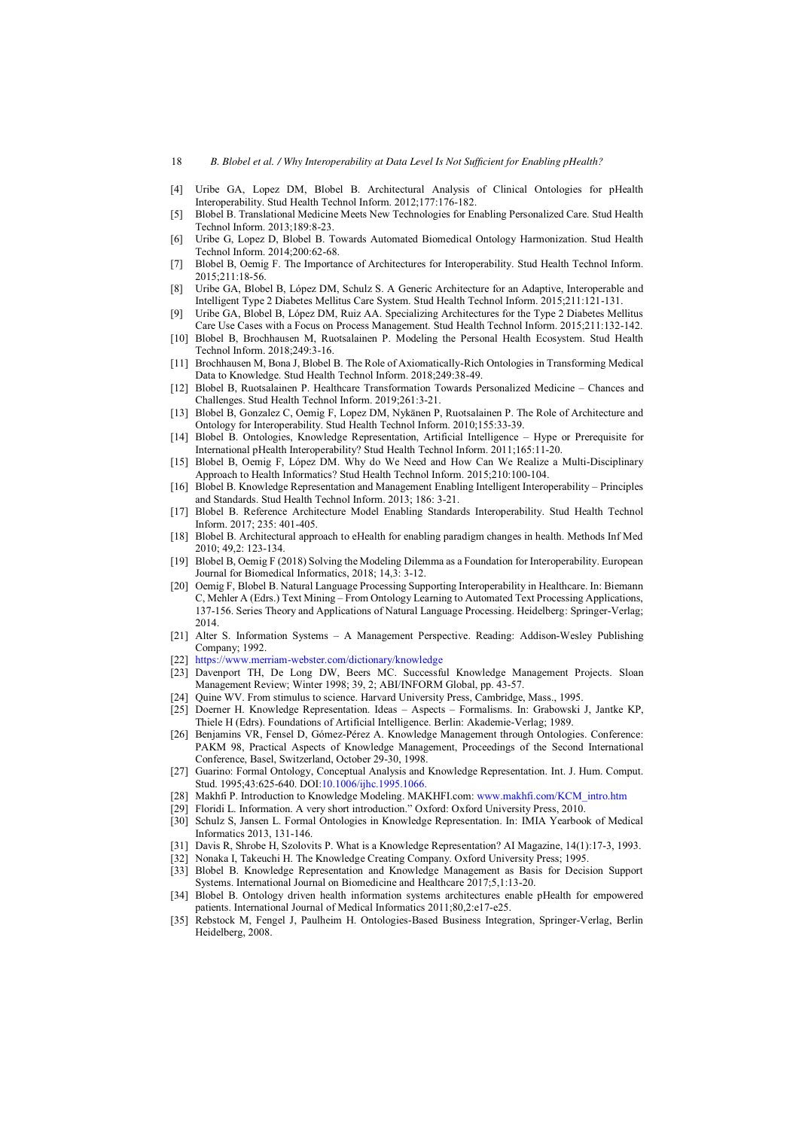- [4] Uribe GA, Lopez DM, Blobel B. Architectural Analysis of Clinical Ontologies for pHealth Interoperability. Stud Health Technol Inform. 2012;177:176-182.
- [5] Blobel B. Translational Medicine Meets New Technologies for Enabling Personalized Care. Stud Health Technol Inform. 2013;189:8-23.
- [6] Uribe G, Lopez D, Blobel B. Towards Automated Biomedical Ontology Harmonization. Stud Health Technol Inform. 2014;200:62-68.
- [7] Blobel B, Oemig F. The Importance of Architectures for Interoperability. Stud Health Technol Inform. 2015;211:18-56.
- [8] Uribe GA, Blobel B, López DM, Schulz S. A Generic Architecture for an Adaptive, Interoperable and Intelligent Type 2 Diabetes Mellitus Care System. Stud Health Technol Inform. 2015;211:121-131.
- [9] Uribe GA, Blobel B, López DM, Ruiz AA. Specializing Architectures for the Type 2 Diabetes Mellitus Care Use Cases with a Focus on Process Management. Stud Health Technol Inform. 2015;211:132-142.
- [10] Blobel B, Brochhausen M, Ruotsalainen P. Modeling the Personal Health Ecosystem. Stud Health Technol Inform. 2018;249:3-16.
- [11] Brochhausen M, Bona J, Blobel B. The Role of Axiomatically-Rich Ontologies in Transforming Medical Data to Knowledge. Stud Health Technol Inform. 2018;249:38-49.
- [12] Blobel B, Ruotsalainen P. Healthcare Transformation Towards Personalized Medicine Chances and Challenges. Stud Health Technol Inform. 2019;261:3-21.
- [13] Blobel B, Gonzalez C, Oemig F, Lopez DM, Nykänen P, Ruotsalainen P. The Role of Architecture and Ontology for Interoperability. Stud Health Technol Inform. 2010;155:33-39.
- [14] Blobel B. Ontologies, Knowledge Representation, Artificial Intelligence Hype or Prerequisite for International pHealth Interoperability? Stud Health Technol Inform. 2011;165:11-20.
- [15] Blobel B, Oemig F, López DM. Why do We Need and How Can We Realize a Multi-Disciplinary Approach to Health Informatics? Stud Health Technol Inform. 2015;210:100-104.
- [16] Blobel B. Knowledge Representation and Management Enabling Intelligent Interoperability Principles and Standards. Stud Health Technol Inform. 2013; 186: 3-21.
- [17] Blobel B. Reference Architecture Model Enabling Standards Interoperability. Stud Health Technol Inform. 2017; 235: 401-405.
- [18] Blobel B. Architectural approach to eHealth for enabling paradigm changes in health. Methods Inf Med 2010; 49,2: 123-134.
- [19] Blobel B, Oemig F (2018) Solving the Modeling Dilemma as a Foundation for Interoperability. European Journal for Biomedical Informatics, 2018; 14,3: 3-12.
- [20] Oemig F, Blobel B. Natural Language Processing Supporting Interoperability in Healthcare. In: Biemann C, Mehler A (Edrs.) Text Mining – From Ontology Learning to Automated Text Processing Applications, 137-156. Series Theory and Applications of Natural Language Processing. Heidelberg: Springer-Verlag; 2014.
- [21] Alter S. Information Systems A Management Perspective. Reading: Addison-Wesley Publishing Company; 1992.
- [22] <https://www.merriam-webster.com/dictionary/knowledge>
- [23] Davenport TH, De Long DW, Beers MC. Successful Knowledge Management Projects. Sloan Management Review; Winter 1998; 39, 2; ABI/INFORM Global, pp. 43-57.
- [24] Quine WV. From stimulus to science. Harvard University Press, Cambridge, Mass., 1995.
- [25] Doerner H. Knowledge Representation. Ideas Aspects Formalisms. In: Grabowski J, Jantke KP, Thiele H (Edrs). Foundations of Artificial Intelligence. Berlin: Akademie-Verlag; 1989.
- [26] Benjamins VR, Fensel D, Gómez-Pérez A. Knowledge Management through Ontologies. Conference: PAKM 98, Practical Aspects of Knowledge Management, Proceedings of the Second International Conference, Basel, Switzerland, October 29-30, 1998.
- [27] Guarino: Formal Ontology, Conceptual Analysis and Knowledge Representation. Int. J. Hum. Comput. Stud. 1995;43:625-640. DO[I:10.1006/ijhc.1995.1066.](https://doi.org/10.1006/ijhc.1995.1066)
- [28] Makhfi P. Introduction to Knowledge Modeling. MAKHFI.com: [www.makhfi.com/KCM\\_intro.htm](http://www.makhfi.com/KCM_intro.htm)
- [29] Floridi L. Information. A very short introduction." Oxford: Oxford University Press, 2010.
- [30] Schulz S, Jansen L. Formal Ontologies in Knowledge Representation. In: IMIA Yearbook of Medical Informatics 2013, 131-146.
- [31] Davis R, Shrobe H, Szolovits P. What is a Knowledge Representation? AI Magazine, 14(1):17-3, 1993.
- [32] Nonaka I, Takeuchi H. The Knowledge Creating Company. Oxford University Press; 1995.
- [33] Blobel B. Knowledge Representation and Knowledge Management as Basis for Decision Support Systems. International Journal on Biomedicine and Healthcare 2017;5,1:13-20.
- [34] Blobel B. Ontology driven health information systems architectures enable pHealth for empowered patients. International Journal of Medical Informatics 2011;80,2:e17-e25.
- [35] Rebstock M, Fengel J, Paulheim H. Ontologies-Based Business Integration, Springer-Verlag, Berlin Heidelberg, 2008.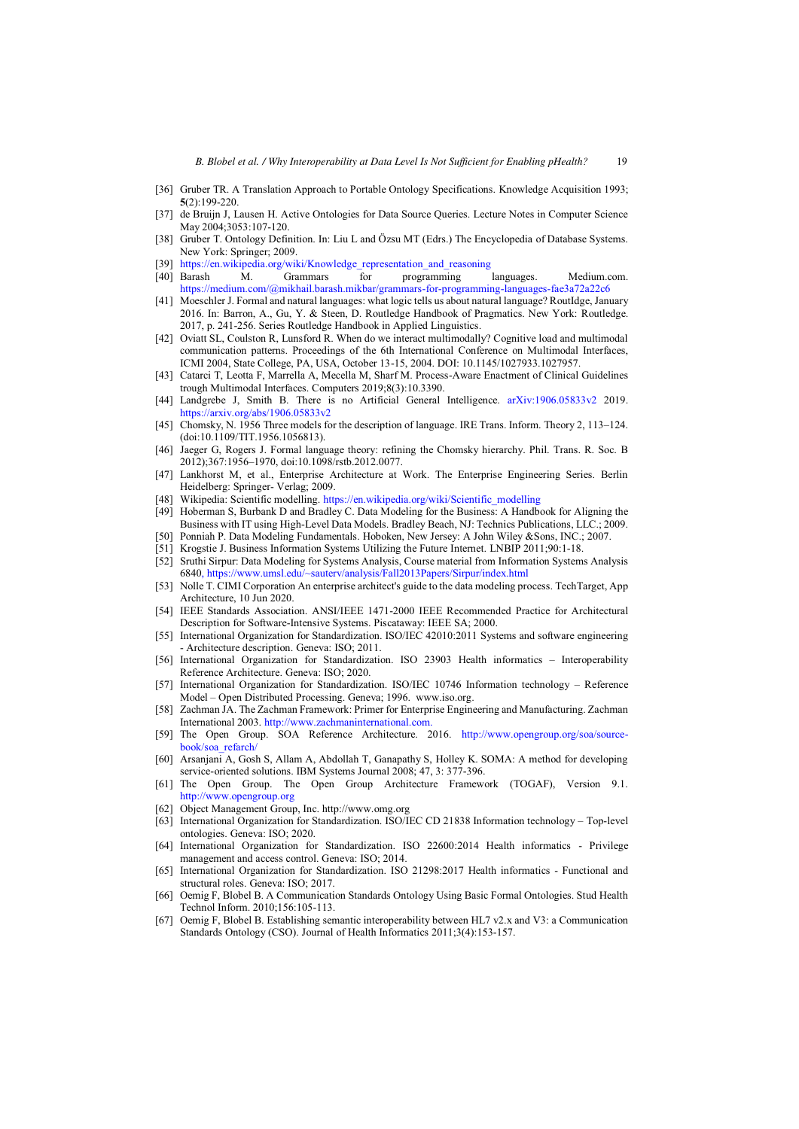- [36] Gruber TR. A Translation Approach to Portable Ontology Specifications. Knowledge Acquisition 1993; **5**(2):199-220.
- [37] de Bruijn J, Lausen H. Active Ontologies for Data Source Queries. Lecture Notes in Computer Science May 2004;3053:107-120.
- [38] Gruber T. Ontology Definition. In: Liu L and Özsu MT (Edrs.) The Encyclopedia of Database Systems. New York: Springer; 2009.
- 
- [39] [https://en.wikipedia.org/wiki/Knowledge\\_representation\\_and\\_reasoning](https://en.wikipedia.org/wiki/Knowledge_representation_and_reasoning)<br>[40] Barash M. Grammars for programming languages. Medium.com. <https://medium.com/@mikhail.barash.mikbar/grammars-for-programming-languages-fae3a72a22c6>
- [41] Moeschler J. Formal and natural languages: what logic tells us about natural language? RoutIdge, January 2016. In: Barron, A., Gu, Y. & Steen, D. Routledge Handbook of Pragmatics. New York: Routledge. 2017, p. 241-256. Series Routledge Handbook in Applied Linguistics.
- [42] Oviatt SL, Coulston R, Lunsford R. When do we interact multimodally? Cognitive load and multimodal communication patterns. Proceedings of the 6th International Conference on Multimodal Interfaces, ICMI 2004, State College, PA, USA, October 13-15, 2004. DOI: 10.1145/1027933.1027957.
- [43] Catarci T, Leotta F, Marrella A, Mecella M, Sharf M. Process-Aware Enactment of Clinical Guidelines trough Multimodal Interfaces. Computers 2019;8(3):10.3390.
- [44] Landgrebe J, Smith B. There is no Artificial General Intelligence. [arXiv:1906.05833v2](https://arxiv.org/abs/1906.05833v2) 2019. <https://arxiv.org/abs/1906.05833v2>
- [45] Chomsky, N. 1956 Three models for the description of language. IRE Trans. Inform. Theory 2, 113–124. (doi:10.1109/TIT.1956.1056813).
- [46] Jaeger G, Rogers J. Formal language theory: refining the Chomsky hierarchy. Phil. Trans. R. Soc. B 2012);367:1956–1970, doi:10.1098/rstb.2012.0077.
- [47] Lankhorst M, et al., Enterprise Architecture at Work. The Enterprise Engineering Series. Berlin Heidelberg: Springer- Verlag; 2009.
- [48] Wikipedia: Scientific modelling. [https://en.wikipedia.org/wiki/Scientific\\_modelling](https://en.wikipedia.org/wiki/Scientific_modelling)
- [49] Hoberman S, Burbank D and Bradley C. Data Modeling for the Business: A Handbook for Aligning the Business with IT using High-Level Data Models. Bradley Beach, NJ: Technics Publications, LLC.; 2009.
- [50] Ponniah P. Data Modeling Fundamentals. Hoboken, New Jersey: A John Wiley &Sons, INC.; 2007.
- [51] Krogstie J. Business Information Systems Utilizing the Future Internet. LNBIP 2011;90:1-18.
- [52] Sruthi Sirpur: Data Modeling for Systems Analysis, Course material from Information Systems Analysis 6840,<https://www.umsl.edu/~sauterv/analysis/Fall2013Papers/Sirpur/index.html>
- [53] Nolle T. CIMI Corporation An enterprise architect's guide to the data modeling process. TechTarget, App Architecture, 10 Jun 2020.
- [54] IEEE Standards Association. ANSI/IEEE 1471-2000 IEEE Recommended Practice for Architectural Description for Software-Intensive Systems. Piscataway: IEEE SA; 2000.
- [55] International Organization for Standardization. ISO/IEC 42010:2011 Systems and software engineering - Architecture description. Geneva: ISO; 2011.
- [56] International Organization for Standardization. ISO 23903 Health informatics Interoperability Reference Architecture. Geneva: ISO; 2020.
- [57] International Organization for Standardization. ISO/IEC 10746 Information technology Reference Model – Open Distributed Processing. Geneva; 1996. www.iso.org.
- [58] Zachman JA. The Zachman Framework: Primer for Enterprise Engineering and Manufacturing. Zachman International 2003. [http://www.zachmaninternational.com.](http://www.zachmaninternational.com/)
- [59] The Open Group. SOA Reference Architecture. 2016. [http://www.opengroup.org/soa/source](http://www.opengroup.org/soa/source-book/soa_refarch/)[book/soa\\_refarch/](http://www.opengroup.org/soa/source-book/soa_refarch/)
- [60] Arsanjani A, Gosh S, Allam A, Abdollah T, Ganapathy S, Holley K. SOMA: A method for developing service-oriented solutions. IBM Systems Journal 2008; 47, 3: 377-396.
- [61] The Open Group. The Open Group Architecture Framework (TOGAF), Version 9.1. [http://www.opengroup.org](http://www.opengroup.org/)
- [62] Object Management Group, Inc. http://www.omg.org
- [63] International Organization for Standardization. ISO/IEC CD 21838 Information technology Top-level ontologies. Geneva: ISO; 2020.
- [64] International Organization for Standardization. ISO 22600:2014 Health informatics Privilege management and access control. Geneva: ISO; 2014.
- [65] International Organization for Standardization. ISO 21298:2017 Health informatics Functional and structural roles. Geneva: ISO; 2017.
- [66] Oemig F, Blobel B. A Communication Standards Ontology Using Basic Formal Ontologies. Stud Health Technol Inform. 2010;156:105-113.
- [67] Oemig F, Blobel B. Establishing semantic interoperability between HL7 v2.x and V3: a Communication Standards Ontology (CSO). Journal of Health Informatics 2011;3(4):153-157.